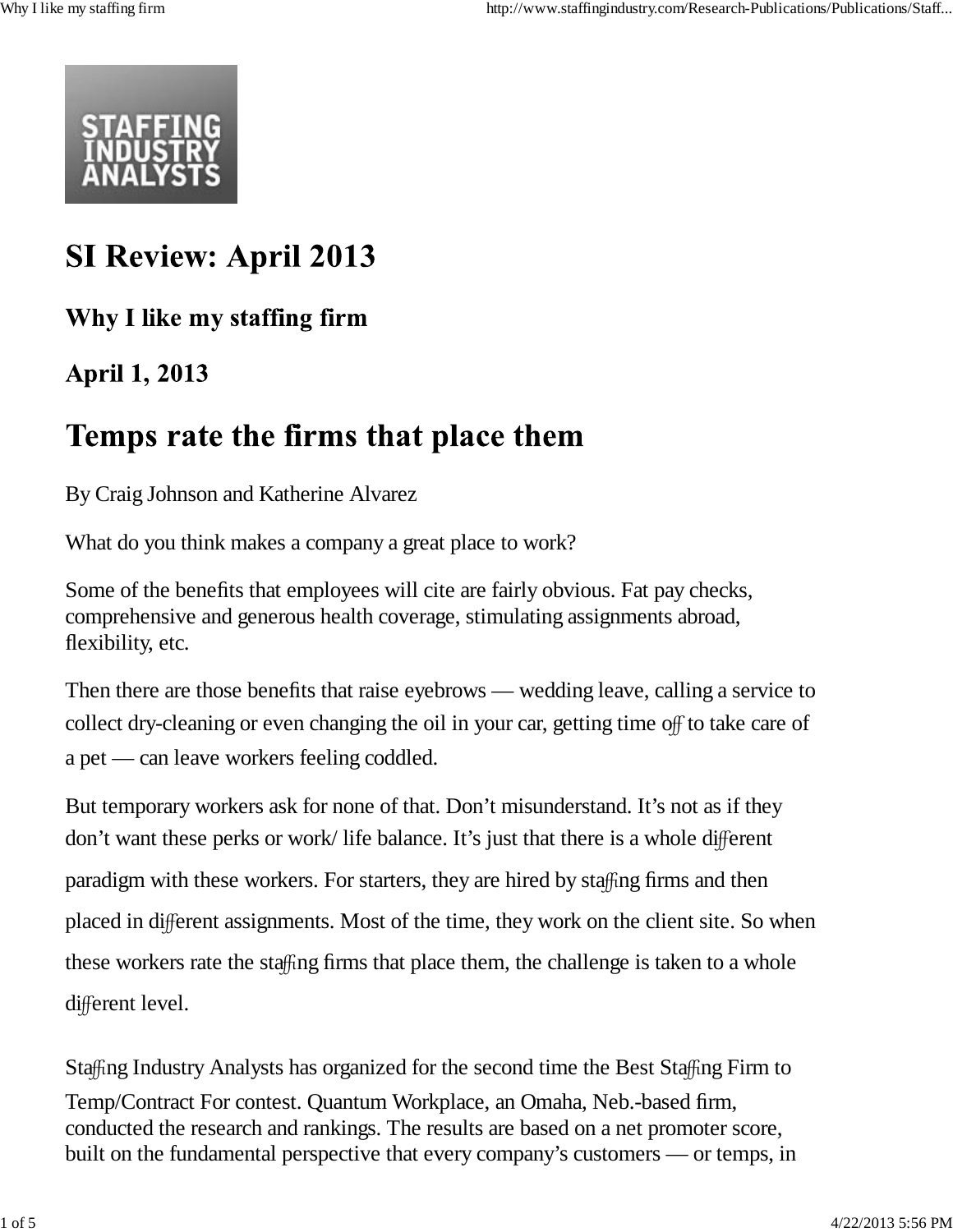

# **SI Review: April 2013**

### Why I like my staffing firm

## **April 1, 2013**

# Temps rate the firms that place them

By Craig Johnson and Katherine Alvarez

What do you think makes a company a great place to work?

Some of the benefits that employees will cite are fairly obvious. Fat pay checks, comprehensive and generous health coverage, stimulating assignments abroad, flexibility, etc.

Then there are those benefits that raise eyebrows — wedding leave, calling a service to collect dry-cleaning or even changing the oil in your car, getting time off to take care of a pet — can leave workers feeling coddled.

But temporary workers ask for none of that. Don't misunderstand. It's not as if they don't want these perks or work/ life balance. It's just that there is a whole different paradigm with these workers. For starters, they are hired by staffing firms and then placed in different assignments. Most of the time, they work on the client site. So when these workers rate the staffing firms that place them, the challenge is taken to a whole different level.

Staffing Industry Analysts has organized for the second time the Best Staffing Firm to Temp/Contract For contest. Quantum Workplace, an Omaha, Neb.-based firm, conducted the research and rankings. The results are based on a net promoter score, built on the fundamental perspective that every company's customers — or temps, in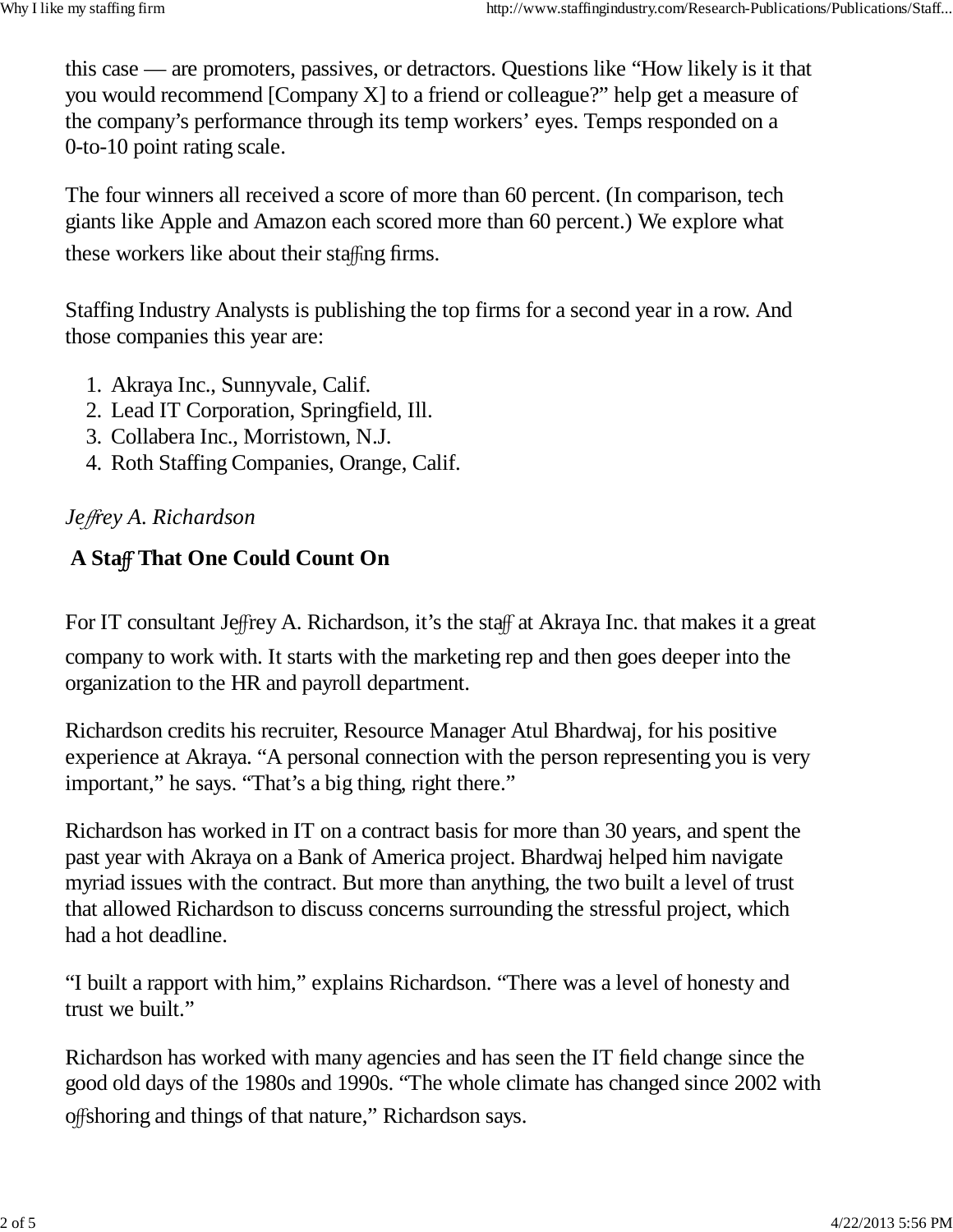this case — are promoters, passives, or detractors. Questions like "How likely is it that you would recommend [Company X] to a friend or colleague?" help get a measure of the company's performance through its temp workers' eyes. Temps responded on a 0-to-10 point rating scale.

The four winners all received a score of more than 60 percent. (In comparison, tech giants like Apple and Amazon each scored more than 60 percent.) We explore what these workers like about their staffing firms.

Staffing Industry Analysts is publishing the top firms for a second year in a row. And those companies this year are:

- 1. Akraya Inc., Sunnyvale, Calif.
- 2. Lead IT Corporation, Springfield, Ill.
- 3. Collabera Inc., Morristown, N.J.
- 4. Roth Staffing Companies, Orange, Calif.

#### *Je*ff*rey A. Richardson*

### **A Sta**ff **That One Could Count On**

For IT consultant Jeffrey A. Richardson, it's the staff at Akraya Inc. that makes it a great

company to work with. It starts with the marketing rep and then goes deeper into the organization to the HR and payroll department.

Richardson credits his recruiter, Resource Manager Atul Bhardwaj, for his positive experience at Akraya. "A personal connection with the person representing you is very important," he says. "That's a big thing, right there."

Richardson has worked in IT on a contract basis for more than 30 years, and spent the past year with Akraya on a Bank of America project. Bhardwaj helped him navigate myriad issues with the contract. But more than anything, the two built a level of trust that allowed Richardson to discuss concerns surrounding the stressful project, which had a hot deadline.

"I built a rapport with him," explains Richardson. "There was a level of honesty and trust we built."

Richardson has worked with many agencies and has seen the IT field change since the good old days of the 1980s and 1990s. "The whole climate has changed since 2002 with offshoring and things of that nature," Richardson says.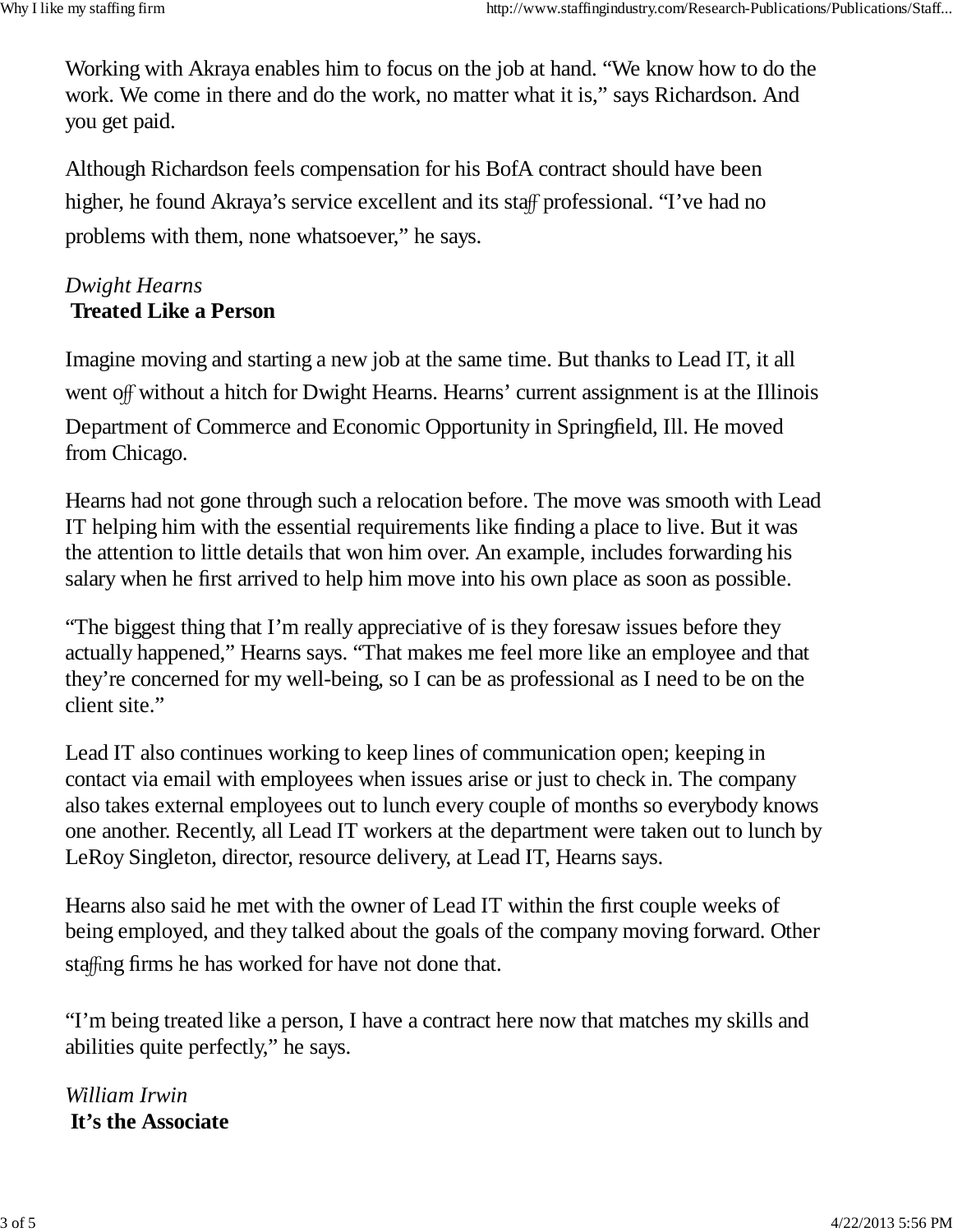Working with Akraya enables him to focus on the job at hand. "We know how to do the work. We come in there and do the work, no matter what it is," says Richardson. And you get paid.

Although Richardson feels compensation for his BofA contract should have been higher, he found Akraya's service excellent and its staff professional. "I've had no problems with them, none whatsoever," he says.

#### *Dwight Hearns* **Treated Like a Person**

Imagine moving and starting a new job at the same time. But thanks to Lead IT, it all went off without a hitch for Dwight Hearns. Hearns' current assignment is at the Illinois Department of Commerce and Economic Opportunity in Springfield, Ill. He moved from Chicago.

Hearns had not gone through such a relocation before. The move was smooth with Lead IT helping him with the essential requirements like finding a place to live. But it was the attention to little details that won him over. An example, includes forwarding his salary when he first arrived to help him move into his own place as soon as possible.

"The biggest thing that I'm really appreciative of is they foresaw issues before they actually happened," Hearns says. "That makes me feel more like an employee and that they're concerned for my well-being, so I can be as professional as I need to be on the client site."

Lead IT also continues working to keep lines of communication open; keeping in contact via email with employees when issues arise or just to check in. The company also takes external employees out to lunch every couple of months so everybody knows one another. Recently, all Lead IT workers at the department were taken out to lunch by LeRoy Singleton, director, resource delivery, at Lead IT, Hearns says.

Hearns also said he met with the owner of Lead IT within the first couple weeks of being employed, and they talked about the goals of the company moving forward. Other staffing firms he has worked for have not done that.

"I'm being treated like a person, I have a contract here now that matches my skills and abilities quite perfectly," he says.

*William Irwin* **It's the Associate**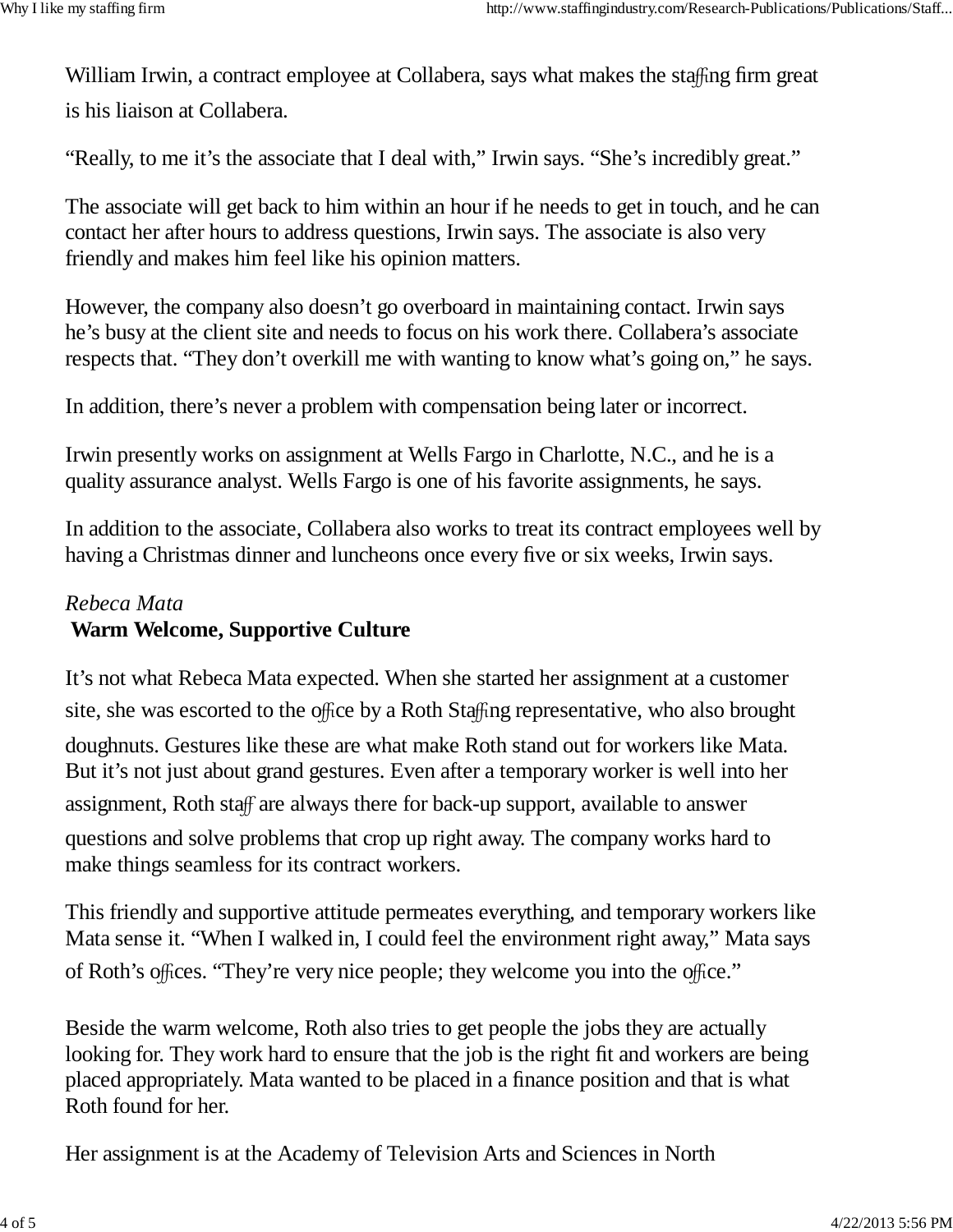William Irwin, a contract employee at Collabera, says what makes the staffing firm great is his liaison at Collabera.

"Really, to me it's the associate that I deal with," Irwin says. "She's incredibly great."

The associate will get back to him within an hour if he needs to get in touch, and he can contact her after hours to address questions, Irwin says. The associate is also very friendly and makes him feel like his opinion matters.

However, the company also doesn't go overboard in maintaining contact. Irwin says he's busy at the client site and needs to focus on his work there. Collabera's associate respects that. "They don't overkill me with wanting to know what's going on," he says.

In addition, there's never a problem with compensation being later or incorrect.

Irwin presently works on assignment at Wells Fargo in Charlotte, N.C., and he is a quality assurance analyst. Wells Fargo is one of his favorite assignments, he says.

In addition to the associate, Collabera also works to treat its contract employees well by having a Christmas dinner and luncheons once every five or six weeks, Irwin says.

#### *Rebeca Mata* **Warm Welcome, Supportive Culture**

It's not what Rebeca Mata expected. When she started her assignment at a customer site, she was escorted to the office by a Roth Staffing representative, who also brought doughnuts. Gestures like these are what make Roth stand out for workers like Mata. But it's not just about grand gestures. Even after a temporary worker is well into her assignment, Roth staff are always there for back-up support, available to answer questions and solve problems that crop up right away. The company works hard to make things seamless for its contract workers.

This friendly and supportive attitude permeates everything, and temporary workers like Mata sense it. "When I walked in, I could feel the environment right away," Mata says of Roth's offices. "They're very nice people; they welcome you into the office."

Beside the warm welcome, Roth also tries to get people the jobs they are actually looking for. They work hard to ensure that the job is the right fit and workers are being placed appropriately. Mata wanted to be placed in a finance position and that is what Roth found for her.

Her assignment is at the Academy of Television Arts and Sciences in North